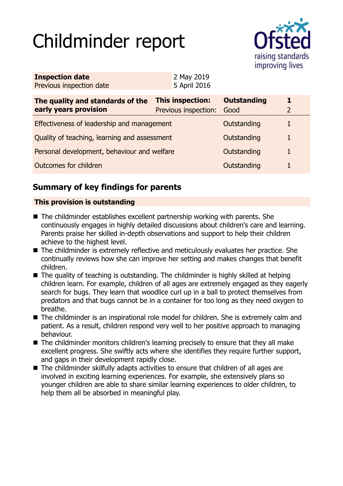# Childminder report



| <b>Inspection date</b>   | 2 May 2019   |
|--------------------------|--------------|
| Previous inspection date | 5 April 2016 |

| The quality and standards of the<br>early years provision | This inspection:<br>Previous inspection: | <b>Outstanding</b><br>Good | 1. |
|-----------------------------------------------------------|------------------------------------------|----------------------------|----|
| Effectiveness of leadership and management                |                                          | Outstanding                |    |
| Quality of teaching, learning and assessment              |                                          | Outstanding                |    |
| Personal development, behaviour and welfare               |                                          | Outstanding                |    |
| <b>Outcomes for children</b>                              |                                          | Outstanding                |    |

# **Summary of key findings for parents**

## **This provision is outstanding**

- $\blacksquare$  The childminder establishes excellent partnership working with parents. She continuously engages in highly detailed discussions about children's care and learning. Parents praise her skilled in-depth observations and support to help their children achieve to the highest level.
- $\blacksquare$  The childminder is extremely reflective and meticulously evaluates her practice. She continually reviews how she can improve her setting and makes changes that benefit children.
- $\blacksquare$  The quality of teaching is outstanding. The childminder is highly skilled at helping children learn. For example, children of all ages are extremely engaged as they eagerly search for bugs. They learn that woodlice curl up in a ball to protect themselves from predators and that bugs cannot be in a container for too long as they need oxygen to breathe.
- The childminder is an inspirational role model for children. She is extremely calm and patient. As a result, children respond very well to her positive approach to managing behaviour.
- The childminder monitors children's learning precisely to ensure that they all make excellent progress. She swiftly acts where she identifies they require further support, and gaps in their development rapidly close.
- $\blacksquare$  The childminder skilfully adapts activities to ensure that children of all ages are involved in exciting learning experiences. For example, she extensively plans so younger children are able to share similar learning experiences to older children, to help them all be absorbed in meaningful play.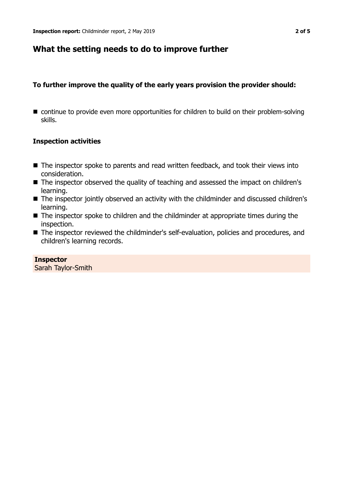## **What the setting needs to do to improve further**

## **To further improve the quality of the early years provision the provider should:**

 $\blacksquare$  continue to provide even more opportunities for children to build on their problem-solving skills.

## **Inspection activities**

- $\blacksquare$  The inspector spoke to parents and read written feedback, and took their views into consideration.
- The inspector observed the quality of teaching and assessed the impact on children's learning.
- The inspector jointly observed an activity with the childminder and discussed children's learning.
- $\blacksquare$  The inspector spoke to children and the childminder at appropriate times during the inspection.
- The inspector reviewed the childminder's self-evaluation, policies and procedures, and children's learning records.

**Inspector** Sarah Taylor-Smith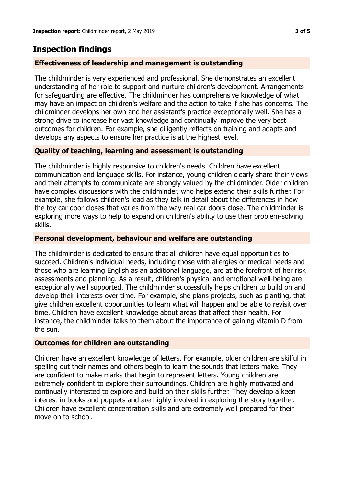# **Inspection findings**

## **Effectiveness of leadership and management is outstanding**

The childminder is very experienced and professional. She demonstrates an excellent understanding of her role to support and nurture children's development. Arrangements for safeguarding are effective. The childminder has comprehensive knowledge of what may have an impact on children's welfare and the action to take if she has concerns. The childminder develops her own and her assistant's practice exceptionally well. She has a strong drive to increase her vast knowledge and continually improve the very best outcomes for children. For example, she diligently reflects on training and adapts and develops any aspects to ensure her practice is at the highest level.

## **Quality of teaching, learning and assessment is outstanding**

The childminder is highly responsive to children's needs. Children have excellent communication and language skills. For instance, young children clearly share their views and their attempts to communicate are strongly valued by the childminder. Older children have complex discussions with the childminder, who helps extend their skills further. For example, she follows children's lead as they talk in detail about the differences in how the toy car door closes that varies from the way real car doors close. The childminder is exploring more ways to help to expand on children's ability to use their problem-solving skills.

## **Personal development, behaviour and welfare are outstanding**

The childminder is dedicated to ensure that all children have equal opportunities to succeed. Children's individual needs, including those with allergies or medical needs and those who are learning English as an additional language, are at the forefront of her risk assessments and planning. As a result, children's physical and emotional well-being are exceptionally well supported. The childminder successfully helps children to build on and develop their interests over time. For example, she plans projects, such as planting, that give children excellent opportunities to learn what will happen and be able to revisit over time. Children have excellent knowledge about areas that affect their health. For instance, the childminder talks to them about the importance of gaining vitamin D from the sun.

#### **Outcomes for children are outstanding**

Children have an excellent knowledge of letters. For example, older children are skilful in spelling out their names and others begin to learn the sounds that letters make. They are confident to make marks that begin to represent letters. Young children are extremely confident to explore their surroundings. Children are highly motivated and continually interested to explore and build on their skills further. They develop a keen interest in books and puppets and are highly involved in exploring the story together. Children have excellent concentration skills and are extremely well prepared for their move on to school.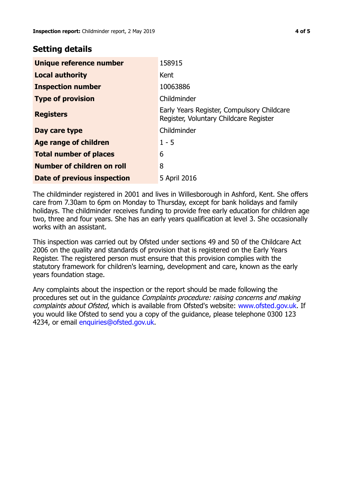## **Setting details**

| Unique reference number       | 158915                                                                               |
|-------------------------------|--------------------------------------------------------------------------------------|
| <b>Local authority</b>        | Kent                                                                                 |
| <b>Inspection number</b>      | 10063886                                                                             |
| <b>Type of provision</b>      | Childminder                                                                          |
| <b>Registers</b>              | Early Years Register, Compulsory Childcare<br>Register, Voluntary Childcare Register |
| Day care type                 | Childminder                                                                          |
| <b>Age range of children</b>  | $1 - 5$                                                                              |
| <b>Total number of places</b> | 6                                                                                    |
| Number of children on roll    | 8                                                                                    |
| Date of previous inspection   | 5 April 2016                                                                         |

The childminder registered in 2001 and lives in Willesborough in Ashford, Kent. She offers care from 7.30am to 6pm on Monday to Thursday, except for bank holidays and family holidays. The childminder receives funding to provide free early education for children age two, three and four years. She has an early years qualification at level 3. She occasionally works with an assistant.

This inspection was carried out by Ofsted under sections 49 and 50 of the Childcare Act 2006 on the quality and standards of provision that is registered on the Early Years Register. The registered person must ensure that this provision complies with the statutory framework for children's learning, development and care, known as the early years foundation stage.

Any complaints about the inspection or the report should be made following the procedures set out in the guidance Complaints procedure: raising concerns and making complaints about Ofsted, which is available from Ofsted's website: www.ofsted.gov.uk. If you would like Ofsted to send you a copy of the guidance, please telephone 0300 123 4234, or email [enquiries@ofsted.gov.uk.](mailto:enquiries@ofsted.gov.uk)